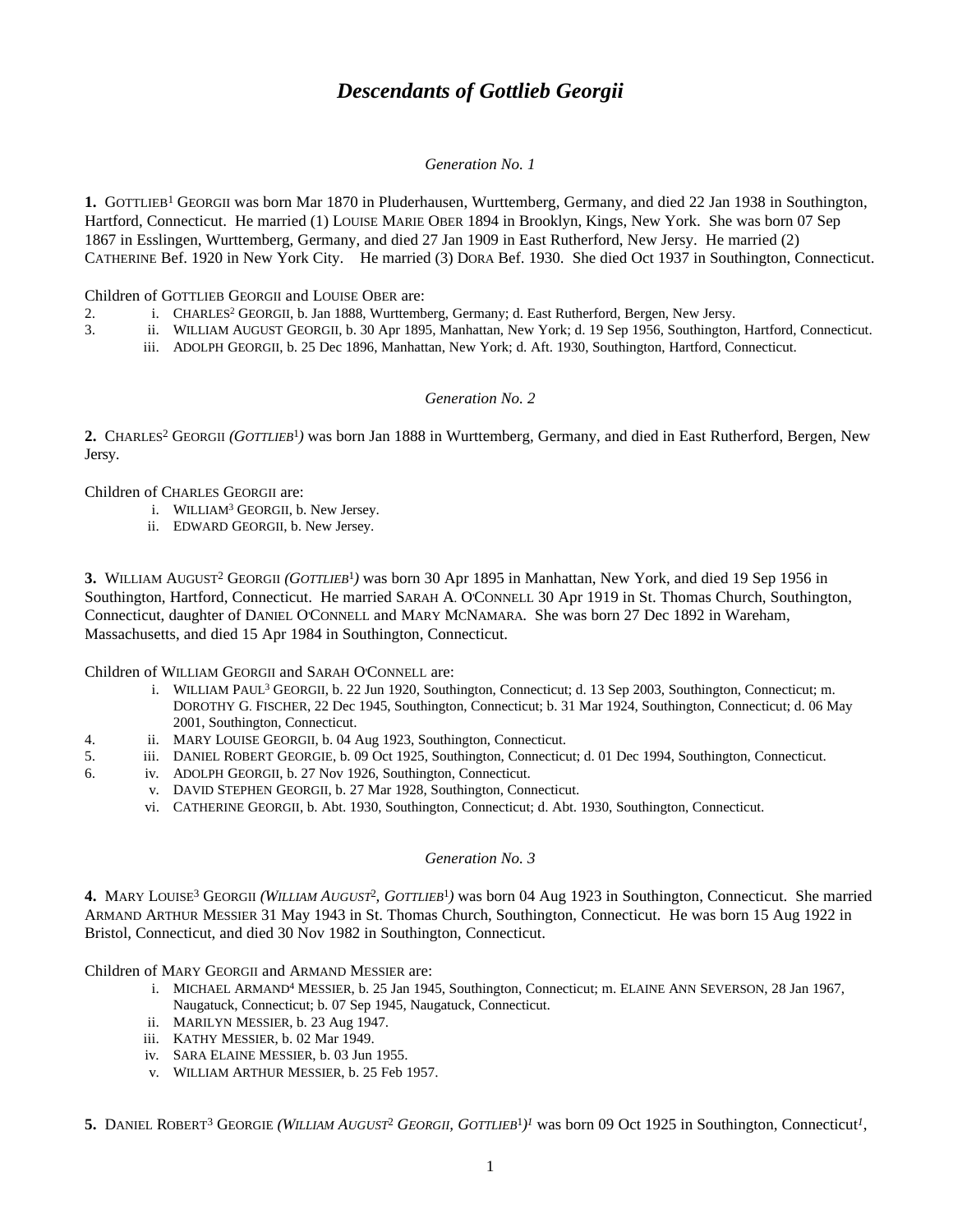# *Descendants of Gottlieb Georgii*

## *Generation No. 1*

1. GOTTLIEB<sup>1</sup> GEORGII was born Mar 1870 in Pluderhausen, Wurttemberg, Germany, and died 22 Jan 1938 in Southington, Hartford, Connecticut. He married (1) LOUISE MARIE OBER 1894 in Brooklyn, Kings, New York. She was born 07 Sep 1867 in Esslingen, Wurttemberg, Germany, and died 27 Jan 1909 in East Rutherford, New Jersy. He married (2) CATHERINE Bef. 1920 in New York City. He married (3) DORA Bef. 1930. She died Oct 1937 in Southington, Connecticut.

Children of GOTTLIEB GEORGII and LOUISE OBER are:

- 2. i. CHARLES<sup>2</sup> GEORGII, b. Jan 1888, Wurttemberg, Germany; d. East Rutherford, Bergen, New Jersy.
- 3. ii. WILLIAM AUGUST GEORGII, b. 30 Apr 1895, Manhattan, New York; d. 19 Sep 1956, Southington, Hartford, Connecticut.
	- iii. ADOLPH GEORGII, b. 25 Dec 1896, Manhattan, New York; d. Aft. 1930, Southington, Hartford, Connecticut.

# *Generation No. 2*

2. CHARLES<sup>2</sup> GEORGII (GOTTLIEB<sup>1</sup>) was born Jan 1888 in Wurttemberg, Germany, and died in East Rutherford, Bergen, New Jersy.

Children of CHARLES GEORGII are:

- i. WILLIAM<sup>3</sup> GEORGII, b. New Jersey.
- ii. EDWARD GEORGII, b. New Jersey.

**3.** WILLIAM AUGUST<sup>2</sup> GEORGII *(GOTTLIEB*<sup>1</sup> *)* was born 30 Apr 1895 in Manhattan, New York, and died 19 Sep 1956 in Southington, Hartford, Connecticut. He married SARAH A. O'CONNELL 30 Apr 1919 in St. Thomas Church, Southington, Connecticut, daughter of DANIEL O'CONNELL and MARY MCNAMARA. She was born 27 Dec 1892 in Wareham, Massachusetts, and died 15 Apr 1984 in Southington, Connecticut.

Children of WILLIAM GEORGII and SARAH O'CONNELL are:

- i. WILLIAM PAUL<sup>3</sup> GEORGII, b. 22 Jun 1920, Southington, Connecticut; d. 13 Sep 2003, Southington, Connecticut; m. DOROTHY G. FISCHER, 22 Dec 1945, Southington, Connecticut; b. 31 Mar 1924, Southington, Connecticut; d. 06 May 2001, Southington, Connecticut.
- 4. ii. MARY LOUISE GEORGII, b. 04 Aug 1923, Southington, Connecticut.
- 5. iii. DANIEL ROBERT GEORGIE, b. 09 Oct 1925, Southington, Connecticut; d. 01 Dec 1994, Southington, Connecticut.
- 6. iv. ADOLPH GEORGII, b. 27 Nov 1926, Southington, Connecticut.
	- v. DAVID STEPHEN GEORGII, b. 27 Mar 1928, Southington, Connecticut.
		- vi. CATHERINE GEORGII, b. Abt. 1930, Southington, Connecticut; d. Abt. 1930, Southington, Connecticut.

#### *Generation No. 3*

**4.** MARY LOUISE<sup>3</sup> GEORGII *(WILLIAM AUGUST*<sup>2</sup> *, GOTTLIEB*<sup>1</sup> *)* was born 04 Aug 1923 in Southington, Connecticut. She married ARMAND ARTHUR MESSIER 31 May 1943 in St. Thomas Church, Southington, Connecticut. He was born 15 Aug 1922 in Bristol, Connecticut, and died 30 Nov 1982 in Southington, Connecticut.

Children of MARY GEORGII and ARMAND MESSIER are:

- i. MICHAEL ARMAND<sup>4</sup> MESSIER, b. 25 Jan 1945, Southington, Connecticut; m. ELAINE ANN SEVERSON, 28 Jan 1967, Naugatuck, Connecticut; b. 07 Sep 1945, Naugatuck, Connecticut.
- ii. MARILYN MESSIER, b. 23 Aug 1947.
- iii. KATHY MESSIER, b. 02 Mar 1949.
- iv. SARA ELAINE MESSIER, b. 03 Jun 1955.
- v. WILLIAM ARTHUR MESSIER, b. 25 Feb 1957.

5. DANIEL ROBERT<sup>3</sup> GEORGIE (WILLIAM AUGUST<sup>2</sup> GEORGII, GOTTLIEB<sup>1</sup>)<sup>*I*</sup> was born 09 Oct 1925 in Southington, Connecticut<sup>*1*</sup>,